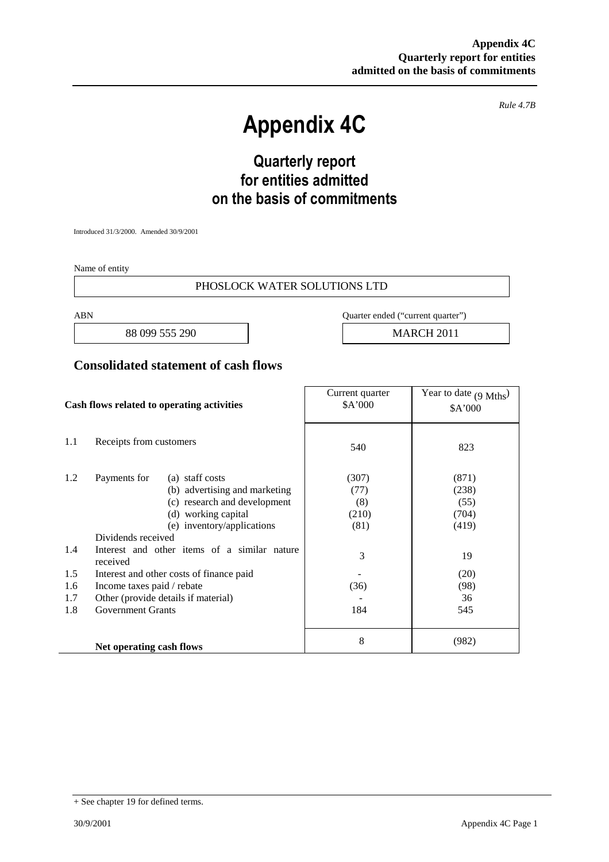*Rule 4.7B*

# **Appendix 4C**

# **Quarterly report for entities admitted on the basis of commitments**

Introduced 31/3/2000. Amended 30/9/2001

Name of entity

#### PHOSLOCK WATER SOLUTIONS LTD

88 099 555 290 **MARCH 2011** 

ABN Quarter ended ("current quarter")

#### **Consolidated statement of cash flows**

| Cash flows related to operating activities |                                                                                                                                                                                                                                                                                     | Current quarter<br>\$A'000                 | Year to date $(9 \text{ Mths})$<br>\$A'000             |
|--------------------------------------------|-------------------------------------------------------------------------------------------------------------------------------------------------------------------------------------------------------------------------------------------------------------------------------------|--------------------------------------------|--------------------------------------------------------|
| 1.1                                        | Receipts from customers                                                                                                                                                                                                                                                             | 540                                        | 823                                                    |
| 1.2<br>1.4<br>1.5                          | Payments for<br>(a) staff costs<br>(b) advertising and marketing<br>(c) research and development<br>(d) working capital<br>(e) inventory/applications<br>Dividends received<br>Interest and other items of a similar nature<br>received<br>Interest and other costs of finance paid | (307)<br>(77)<br>(8)<br>(210)<br>(81)<br>3 | (871)<br>(238)<br>(55)<br>(704)<br>(419)<br>19<br>(20) |
| 1.6                                        | Income taxes paid / rebate                                                                                                                                                                                                                                                          | (36)                                       | (98)                                                   |
| 1.7                                        | Other (provide details if material)                                                                                                                                                                                                                                                 |                                            | 36                                                     |
| 1.8                                        | <b>Government Grants</b>                                                                                                                                                                                                                                                            | 184                                        | 545                                                    |
|                                            | Net operating cash flows                                                                                                                                                                                                                                                            | 8                                          | (982)                                                  |

<sup>+</sup> See chapter 19 for defined terms.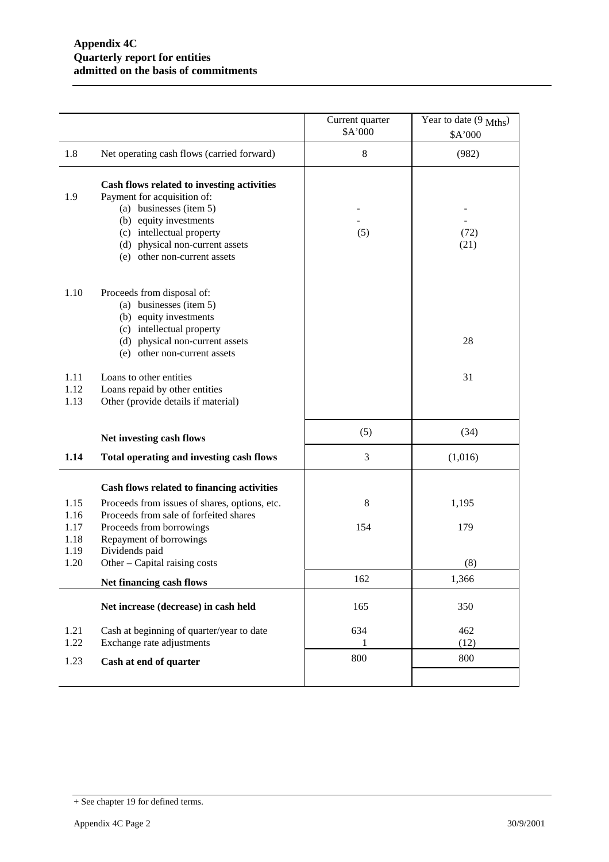|                              |                                                                                                                                                                                                                                | Current quarter<br>\$A'000 | Year to date (9 Mths)<br>\$A'000 |
|------------------------------|--------------------------------------------------------------------------------------------------------------------------------------------------------------------------------------------------------------------------------|----------------------------|----------------------------------|
| 1.8                          | Net operating cash flows (carried forward)                                                                                                                                                                                     | 8                          | (982)                            |
| 1.9                          | Cash flows related to investing activities<br>Payment for acquisition of:<br>(a) businesses (item 5)<br>(b) equity investments<br>(c) intellectual property<br>(d) physical non-current assets<br>(e) other non-current assets | (5)                        | (72)<br>(21)                     |
| 1.10                         | Proceeds from disposal of:<br>(a) businesses (item 5)<br>(b) equity investments<br>(c) intellectual property<br>(d) physical non-current assets<br>(e) other non-current assets                                                |                            | 28                               |
| 1.11<br>1.12<br>1.13         | Loans to other entities<br>Loans repaid by other entities<br>Other (provide details if material)                                                                                                                               |                            | 31                               |
|                              | Net investing cash flows                                                                                                                                                                                                       | (5)                        | (34)                             |
| 1.14                         | Total operating and investing cash flows                                                                                                                                                                                       | 3                          | (1,016)                          |
|                              | Cash flows related to financing activities                                                                                                                                                                                     |                            |                                  |
| 1.15<br>1.16<br>1.17<br>1.18 | Proceeds from issues of shares, options, etc.<br>Proceeds from sale of forfeited shares<br>Proceeds from borrowings<br>Repayment of borrowings                                                                                 | 8<br>154                   | 1,195<br>179                     |
| 1.19<br>1.20                 | Dividends paid<br>Other - Capital raising costs                                                                                                                                                                                |                            | (8)                              |
|                              | Net financing cash flows                                                                                                                                                                                                       | 162                        | 1,366                            |
|                              | Net increase (decrease) in cash held                                                                                                                                                                                           | 165                        | 350                              |
| 1.21<br>1.22                 | Cash at beginning of quarter/year to date<br>Exchange rate adjustments                                                                                                                                                         | 634<br>1                   | 462<br>(12)                      |
| 1.23                         | Cash at end of quarter                                                                                                                                                                                                         | 800                        | 800                              |
|                              |                                                                                                                                                                                                                                |                            |                                  |

<sup>+</sup> See chapter 19 for defined terms.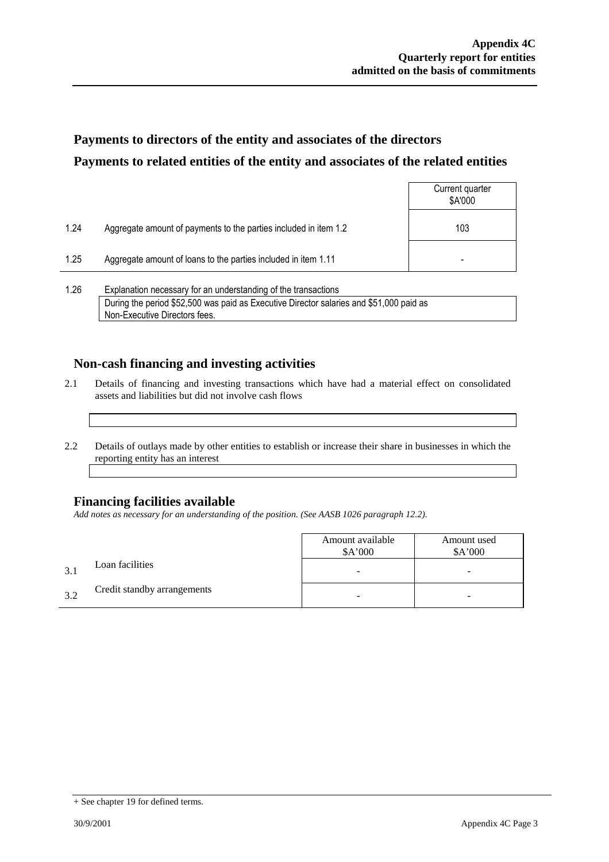## **Payments to directors of the entity and associates of the directors Payments to related entities of the entity and associates of the related entities**

|      |                                                                  | Current quarter<br>\$A'000 |
|------|------------------------------------------------------------------|----------------------------|
| 1.24 | Aggregate amount of payments to the parties included in item 1.2 | 103                        |
| 1.25 | Aggregate amount of loans to the parties included in item 1.11   | ۰                          |
|      |                                                                  |                            |

1.26 Explanation necessary for an understanding of the transactions During the period \$52,500 was paid as Executive Director salaries and \$51,000 paid as Non-Executive Directors fees.

### **Non-cash financing and investing activities**

- 2.1 Details of financing and investing transactions which have had a material effect on consolidated assets and liabilities but did not involve cash flows
- 2.2 Details of outlays made by other entities to establish or increase their share in businesses in which the reporting entity has an interest

### **Financing facilities available**

*Add notes as necessary for an understanding of the position. (See AASB 1026 paragraph 12.2).*

|     |                             | Amount available<br>\$A'000 | Amount used<br>\$A'000 |
|-----|-----------------------------|-----------------------------|------------------------|
| 3.1 | Loan facilities             |                             | -                      |
| 3.2 | Credit standby arrangements |                             | -                      |

<sup>+</sup> See chapter 19 for defined terms.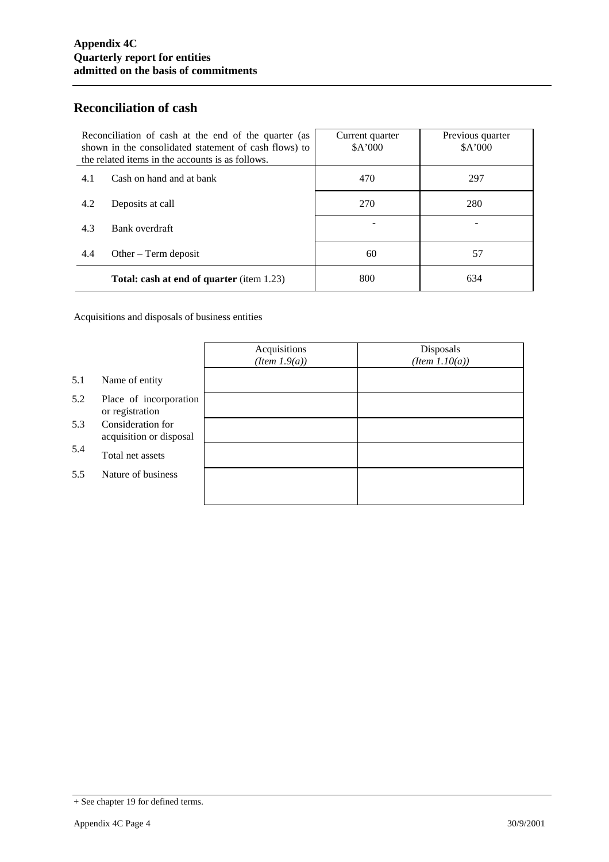### **Reconciliation of cash**

| Reconciliation of cash at the end of the quarter (as<br>shown in the consolidated statement of cash flows) to<br>the related items in the accounts is as follows. |                                                  | Current quarter<br>\$A'000 | Previous quarter<br>\$A'000 |
|-------------------------------------------------------------------------------------------------------------------------------------------------------------------|--------------------------------------------------|----------------------------|-----------------------------|
| 4.1                                                                                                                                                               | Cash on hand and at bank                         | 470                        | 297                         |
| 4.2                                                                                                                                                               | Deposits at call                                 | 270                        | 280                         |
| 4.3                                                                                                                                                               | Bank overdraft                                   |                            |                             |
| 4.4                                                                                                                                                               | Other $-$ Term deposit                           | 60                         | 57                          |
|                                                                                                                                                                   | <b>Total: cash at end of quarter</b> (item 1.23) | 800                        | 634                         |

Acquisitions and disposals of business entities

|     |                                              | Acquisitions<br>(Item 1.9(a)) | Disposals<br>$(Item\ 1.10(a))$ |
|-----|----------------------------------------------|-------------------------------|--------------------------------|
| 5.1 | Name of entity                               |                               |                                |
| 5.2 | Place of incorporation<br>or registration    |                               |                                |
| 5.3 | Consideration for<br>acquisition or disposal |                               |                                |
| 5.4 | Total net assets                             |                               |                                |
| 5.5 | Nature of business                           |                               |                                |
|     |                                              |                               |                                |

<sup>+</sup> See chapter 19 for defined terms.